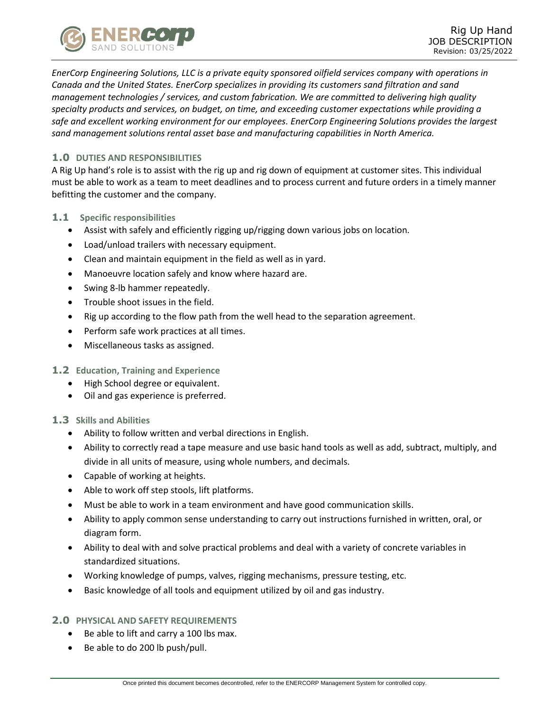

*EnerCorp Engineering Solutions, LLC is a private equity sponsored oilfield services company with operations in Canada and the United States. EnerCorp specializes in providing its customers sand filtration and sand management technologies / services, and custom fabrication. We are committed to delivering high quality specialty products and services, on budget, on time, and exceeding customer expectations while providing a safe and excellent working environment for our employees. EnerCorp Engineering Solutions provides the largest sand management solutions rental asset base and manufacturing capabilities in North America.*

# **1.0 DUTIES AND RESPONSIBILITIES**

A Rig Up hand's role is to assist with the rig up and rig down of equipment at customer sites. This individual must be able to work as a team to meet deadlines and to process current and future orders in a timely manner befitting the customer and the company.

- **1.1 Specific responsibilities**
	- Assist with safely and efficiently rigging up/rigging down various jobs on location.
	- Load/unload trailers with necessary equipment.
	- Clean and maintain equipment in the field as well as in yard.
	- Manoeuvre location safely and know where hazard are.
	- Swing 8-lb hammer repeatedly.
	- Trouble shoot issues in the field.
	- Rig up according to the flow path from the well head to the separation agreement.
	- Perform safe work practices at all times.
	- Miscellaneous tasks as assigned.

## **1.2 Education, Training and Experience**

- High School degree or equivalent.
- Oil and gas experience is preferred.
- **1.3 Skills and Abilities**
	- Ability to follow written and verbal directions in English.
	- Ability to correctly read a tape measure and use basic hand tools as well as add, subtract, multiply, and divide in all units of measure, using whole numbers, and decimals.
	- Capable of working at heights.
	- Able to work off step stools, lift platforms.
	- Must be able to work in a team environment and have good communication skills.
	- Ability to apply common sense understanding to carry out instructions furnished in written, oral, or diagram form.
	- Ability to deal with and solve practical problems and deal with a variety of concrete variables in standardized situations.
	- Working knowledge of pumps, valves, rigging mechanisms, pressure testing, etc.
	- Basic knowledge of all tools and equipment utilized by oil and gas industry.

## **2.0 PHYSICAL AND SAFETY REQUIREMENTS**

- Be able to lift and carry a 100 lbs max.
- Be able to do 200 lb push/pull.